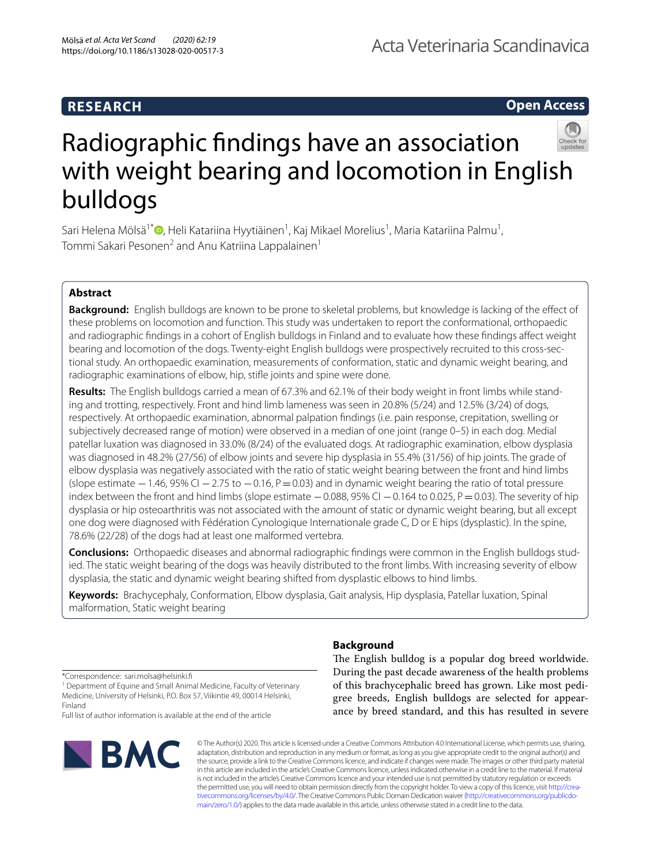## **RESEARCH**

Acta Veterinaria Scandinavica

**Open Access**



# Radiographic fndings have an association with weight bearing and locomotion in English bulldogs

Sari Helena Mölsä<sup>1[\\*](http://orcid.org/0000-0003-2484-1157)</sup>®, Heli Katariina Hyytiäinen<sup>1</sup>, Kaj Mikael Morelius<sup>1</sup>, Maria Katariina Palmu<sup>1</sup>, Tommi Sakari Pesonen $^2$  and Anu Katriina Lappalainen $^1$ 

## **Abstract**

**Background:** English bulldogs are known to be prone to skeletal problems, but knowledge is lacking of the efect of these problems on locomotion and function. This study was undertaken to report the conformational, orthopaedic and radiographic fndings in a cohort of English bulldogs in Finland and to evaluate how these fndings afect weight bearing and locomotion of the dogs. Twenty-eight English bulldogs were prospectively recruited to this cross-sectional study. An orthopaedic examination, measurements of conformation, static and dynamic weight bearing, and radiographic examinations of elbow, hip, stife joints and spine were done.

**Results:** The English bulldogs carried a mean of 67.3% and 62.1% of their body weight in front limbs while standing and trotting, respectively. Front and hind limb lameness was seen in 20.8% (5/24) and 12.5% (3/24) of dogs, respectively. At orthopaedic examination, abnormal palpation fndings (i.e. pain response, crepitation, swelling or subjectively decreased range of motion) were observed in a median of one joint (range 0–5) in each dog. Medial patellar luxation was diagnosed in 33.0% (8/24) of the evaluated dogs. At radiographic examination, elbow dysplasia was diagnosed in 48.2% (27/56) of elbow joints and severe hip dysplasia in 55.4% (31/56) of hip joints. The grade of elbow dysplasia was negatively associated with the ratio of static weight bearing between the front and hind limbs (slope estimate  $-1.46$ , 95% CI  $-2.75$  to  $-0.16$ , P $=0.03$ ) and in dynamic weight bearing the ratio of total pressure index between the front and hind limbs (slope estimate  $-0.088$ , 95% CI  $-0.164$  to 0.025, P=0.03). The severity of hip dysplasia or hip osteoarthritis was not associated with the amount of static or dynamic weight bearing, but all except one dog were diagnosed with Fédération Cynologique Internationale grade C, D or E hips (dysplastic). In the spine, 78.6% (22/28) of the dogs had at least one malformed vertebra.

**Conclusions:** Orthopaedic diseases and abnormal radiographic fndings were common in the English bulldogs studied. The static weight bearing of the dogs was heavily distributed to the front limbs. With increasing severity of elbow dysplasia, the static and dynamic weight bearing shifted from dysplastic elbows to hind limbs.

**Keywords:** Brachycephaly, Conformation, Elbow dysplasia, Gait analysis, Hip dysplasia, Patellar luxation, Spinal malformation, Static weight bearing

\*Correspondence: sari.molsa@helsinki.f

<sup>1</sup> Department of Equine and Small Animal Medicine, Faculty of Veterinary Medicine, University of Helsinki, P.O. Box 57, Viikintie 49, 00014 Helsinki, Finland

Full list of author information is available at the end of the article



## **Background**

The English bulldog is a popular dog breed worldwide. During the past decade awareness of the health problems of this brachycephalic breed has grown. Like most pedigree breeds, English bulldogs are selected for appearance by breed standard, and this has resulted in severe

© The Author(s) 2020. This article is licensed under a Creative Commons Attribution 4.0 International License, which permits use, sharing, adaptation, distribution and reproduction in any medium or format, as long as you give appropriate credit to the original author(s) and the source, provide a link to the Creative Commons licence, and indicate if changes were made. The images or other third party material in this article are included in the article's Creative Commons licence, unless indicated otherwise in a credit line to the material. If material is not included in the article's Creative Commons licence and your intended use is not permitted by statutory regulation or exceeds the permitted use, you will need to obtain permission directly from the copyright holder. To view a copy of this licence, visit [http://crea](http://creativecommons.org/licenses/by/4.0/)[tivecommons.org/licenses/by/4.0/.](http://creativecommons.org/licenses/by/4.0/) The Creative Commons Public Domain Dedication waiver ([http://creativecommons.org/publicdo](http://creativecommons.org/publicdomain/zero/1.0/)[main/zero/1.0/\)](http://creativecommons.org/publicdomain/zero/1.0/) applies to the data made available in this article, unless otherwise stated in a credit line to the data.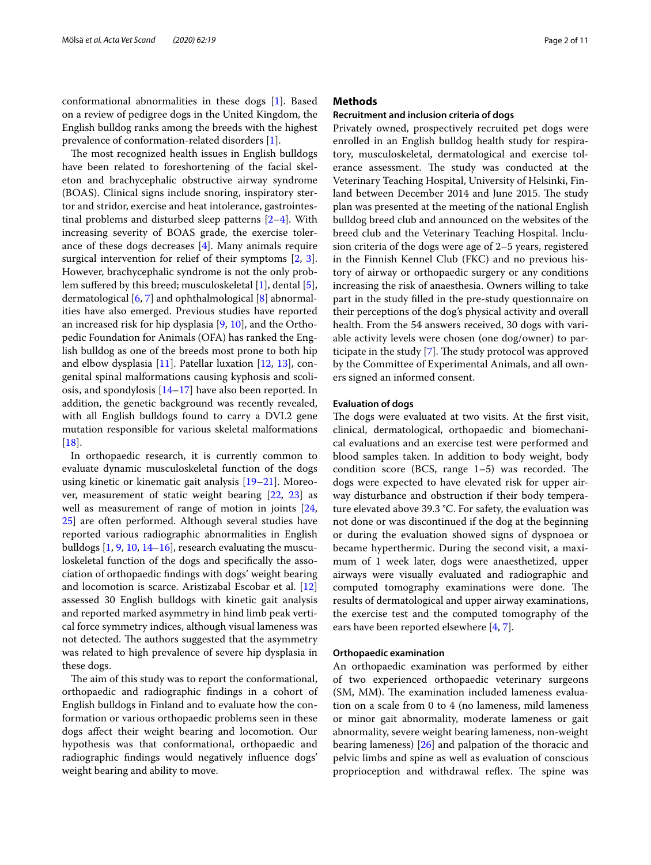conformational abnormalities in these dogs [\[1](#page-9-0)]. Based on a review of pedigree dogs in the United Kingdom, the English bulldog ranks among the breeds with the highest prevalence of conformation-related disorders [[1\]](#page-9-0).

The most recognized health issues in English bulldogs have been related to foreshortening of the facial skeleton and brachycephalic obstructive airway syndrome (BOAS). Clinical signs include snoring, inspiratory stertor and stridor, exercise and heat intolerance, gastrointestinal problems and disturbed sleep patterns [\[2](#page-9-1)[–4](#page-9-2)]. With increasing severity of BOAS grade, the exercise tolerance of these dogs decreases [[4\]](#page-9-2). Many animals require surgical intervention for relief of their symptoms [\[2](#page-9-1), [3](#page-9-3)]. However, brachycephalic syndrome is not the only prob-lem suffered by this breed; musculoskeletal [[1\]](#page-9-0), dental [\[5](#page-9-4)], dermatological [\[6](#page-9-5), [7\]](#page-9-6) and ophthalmological [\[8](#page-9-7)] abnormalities have also emerged. Previous studies have reported an increased risk for hip dysplasia [\[9,](#page-9-8) [10\]](#page-9-9), and the Orthopedic Foundation for Animals (OFA) has ranked the English bulldog as one of the breeds most prone to both hip and elbow dysplasia [[11\]](#page-9-10). Patellar luxation [\[12](#page-9-11), [13](#page-9-12)], congenital spinal malformations causing kyphosis and scoliosis, and spondylosis [\[14–](#page-9-13)[17\]](#page-9-14) have also been reported. In addition, the genetic background was recently revealed, with all English bulldogs found to carry a DVL2 gene mutation responsible for various skeletal malformations  $[18]$  $[18]$ .

In orthopaedic research, it is currently common to evaluate dynamic musculoskeletal function of the dogs using kinetic or kinematic gait analysis [\[19–](#page-9-16)[21\]](#page-9-17). Moreover, measurement of static weight bearing [\[22](#page-10-0), [23](#page-10-1)] as well as measurement of range of motion in joints [\[24](#page-10-2), [25\]](#page-10-3) are often performed. Although several studies have reported various radiographic abnormalities in English bulldogs [[1,](#page-9-0) [9](#page-9-8), [10](#page-9-9), [14–](#page-9-13)[16\]](#page-9-18), research evaluating the musculoskeletal function of the dogs and specifcally the association of orthopaedic fndings with dogs' weight bearing and locomotion is scarce. Aristizabal Escobar et al. [[12](#page-9-11)] assessed 30 English bulldogs with kinetic gait analysis and reported marked asymmetry in hind limb peak vertical force symmetry indices, although visual lameness was not detected. The authors suggested that the asymmetry was related to high prevalence of severe hip dysplasia in these dogs.

The aim of this study was to report the conformational, orthopaedic and radiographic fndings in a cohort of English bulldogs in Finland and to evaluate how the conformation or various orthopaedic problems seen in these dogs afect their weight bearing and locomotion. Our hypothesis was that conformational, orthopaedic and radiographic fndings would negatively infuence dogs' weight bearing and ability to move.

## **Methods**

## **Recruitment and inclusion criteria of dogs**

Privately owned, prospectively recruited pet dogs were enrolled in an English bulldog health study for respiratory, musculoskeletal, dermatological and exercise tolerance assessment. The study was conducted at the Veterinary Teaching Hospital, University of Helsinki, Finland between December 2014 and June 2015. The study plan was presented at the meeting of the national English bulldog breed club and announced on the websites of the breed club and the Veterinary Teaching Hospital. Inclusion criteria of the dogs were age of 2–5 years, registered in the Finnish Kennel Club (FKC) and no previous history of airway or orthopaedic surgery or any conditions increasing the risk of anaesthesia. Owners willing to take part in the study flled in the pre-study questionnaire on their perceptions of the dog's physical activity and overall health. From the 54 answers received, 30 dogs with variable activity levels were chosen (one dog/owner) to par-ticipate in the study [[7\]](#page-9-6). The study protocol was approved by the Committee of Experimental Animals, and all owners signed an informed consent.

## **Evaluation of dogs**

The dogs were evaluated at two visits. At the first visit, clinical, dermatological, orthopaedic and biomechanical evaluations and an exercise test were performed and blood samples taken. In addition to body weight, body condition score (BCS, range  $1-5$ ) was recorded. The dogs were expected to have elevated risk for upper airway disturbance and obstruction if their body temperature elevated above 39.3 °C. For safety, the evaluation was not done or was discontinued if the dog at the beginning or during the evaluation showed signs of dyspnoea or became hyperthermic. During the second visit, a maximum of 1 week later, dogs were anaesthetized, upper airways were visually evaluated and radiographic and computed tomography examinations were done. The results of dermatological and upper airway examinations, the exercise test and the computed tomography of the ears have been reported elsewhere [[4,](#page-9-2) [7\]](#page-9-6).

#### **Orthopaedic examination**

An orthopaedic examination was performed by either of two experienced orthopaedic veterinary surgeons (SM, MM). The examination included lameness evaluation on a scale from 0 to 4 (no lameness, mild lameness or minor gait abnormality, moderate lameness or gait abnormality, severe weight bearing lameness, non-weight bearing lameness) [\[26\]](#page-10-4) and palpation of the thoracic and pelvic limbs and spine as well as evaluation of conscious proprioception and withdrawal reflex. The spine was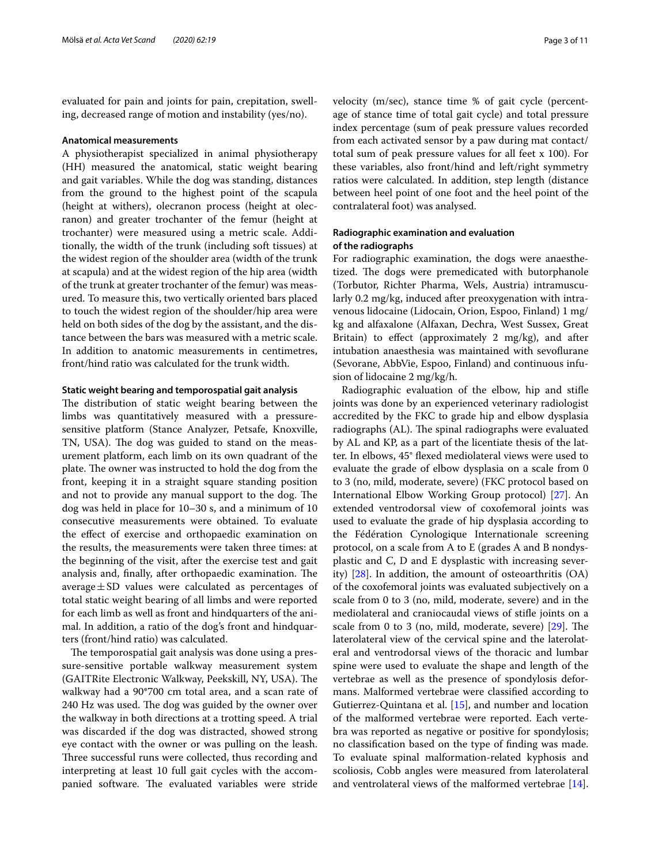evaluated for pain and joints for pain, crepitation, swelling, decreased range of motion and instability (yes/no).

## **Anatomical measurements**

A physiotherapist specialized in animal physiotherapy (HH) measured the anatomical, static weight bearing and gait variables. While the dog was standing, distances from the ground to the highest point of the scapula (height at withers), olecranon process (height at olecranon) and greater trochanter of the femur (height at trochanter) were measured using a metric scale. Additionally, the width of the trunk (including soft tissues) at the widest region of the shoulder area (width of the trunk at scapula) and at the widest region of the hip area (width of the trunk at greater trochanter of the femur) was measured. To measure this, two vertically oriented bars placed to touch the widest region of the shoulder/hip area were held on both sides of the dog by the assistant, and the distance between the bars was measured with a metric scale. In addition to anatomic measurements in centimetres, front/hind ratio was calculated for the trunk width.

## **Static weight bearing and temporospatial gait analysis**

The distribution of static weight bearing between the limbs was quantitatively measured with a pressuresensitive platform (Stance Analyzer, Petsafe, Knoxville, TN, USA). The dog was guided to stand on the measurement platform, each limb on its own quadrant of the plate. The owner was instructed to hold the dog from the front, keeping it in a straight square standing position and not to provide any manual support to the dog. The dog was held in place for 10–30 s, and a minimum of 10 consecutive measurements were obtained. To evaluate the efect of exercise and orthopaedic examination on the results, the measurements were taken three times: at the beginning of the visit, after the exercise test and gait analysis and, finally, after orthopaedic examination. The average $\pm$ SD values were calculated as percentages of total static weight bearing of all limbs and were reported for each limb as well as front and hindquarters of the animal. In addition, a ratio of the dog's front and hindquarters (front/hind ratio) was calculated.

The temporospatial gait analysis was done using a pressure-sensitive portable walkway measurement system (GAITRite Electronic Walkway, Peekskill, NY, USA). The walkway had a 90\*700 cm total area, and a scan rate of 240 Hz was used. The dog was guided by the owner over the walkway in both directions at a trotting speed. A trial was discarded if the dog was distracted, showed strong eye contact with the owner or was pulling on the leash. Three successful runs were collected, thus recording and interpreting at least 10 full gait cycles with the accompanied software. The evaluated variables were stride velocity (m/sec), stance time % of gait cycle (percentage of stance time of total gait cycle) and total pressure index percentage (sum of peak pressure values recorded from each activated sensor by a paw during mat contact/ total sum of peak pressure values for all feet x 100). For these variables, also front/hind and left/right symmetry ratios were calculated. In addition, step length (distance between heel point of one foot and the heel point of the contralateral foot) was analysed.

## **Radiographic examination and evaluation of the radiographs**

For radiographic examination, the dogs were anaesthetized. The dogs were premedicated with butorphanole (Torbutor, Richter Pharma, Wels, Austria) intramuscularly 0.2 mg/kg, induced after preoxygenation with intravenous lidocaine (Lidocain, Orion, Espoo, Finland) 1 mg/ kg and alfaxalone (Alfaxan, Dechra, West Sussex, Great Britain) to efect (approximately 2 mg/kg), and after intubation anaesthesia was maintained with sevofurane (Sevorane, AbbVie, Espoo, Finland) and continuous infusion of lidocaine 2 mg/kg/h.

Radiographic evaluation of the elbow, hip and stife joints was done by an experienced veterinary radiologist accredited by the FKC to grade hip and elbow dysplasia radiographs (AL). The spinal radiographs were evaluated by AL and KP, as a part of the licentiate thesis of the latter. In elbows, 45° fexed mediolateral views were used to evaluate the grade of elbow dysplasia on a scale from 0 to 3 (no, mild, moderate, severe) (FKC protocol based on International Elbow Working Group protocol) [[27\]](#page-10-5). An extended ventrodorsal view of coxofemoral joints was used to evaluate the grade of hip dysplasia according to the Fédération Cynologique Internationale screening protocol, on a scale from A to E (grades A and B nondysplastic and C, D and E dysplastic with increasing severity) [[28\]](#page-10-6). In addition, the amount of osteoarthritis (OA) of the coxofemoral joints was evaluated subjectively on a scale from 0 to 3 (no, mild, moderate, severe) and in the mediolateral and craniocaudal views of stife joints on a scale from 0 to 3 (no, mild, moderate, severe)  $[29]$  $[29]$ . The laterolateral view of the cervical spine and the laterolateral and ventrodorsal views of the thoracic and lumbar spine were used to evaluate the shape and length of the vertebrae as well as the presence of spondylosis deformans. Malformed vertebrae were classifed according to Gutierrez-Quintana et al. [\[15](#page-9-19)], and number and location of the malformed vertebrae were reported. Each vertebra was reported as negative or positive for spondylosis; no classifcation based on the type of fnding was made. To evaluate spinal malformation-related kyphosis and scoliosis, Cobb angles were measured from laterolateral and ventrolateral views of the malformed vertebrae [\[14](#page-9-13)].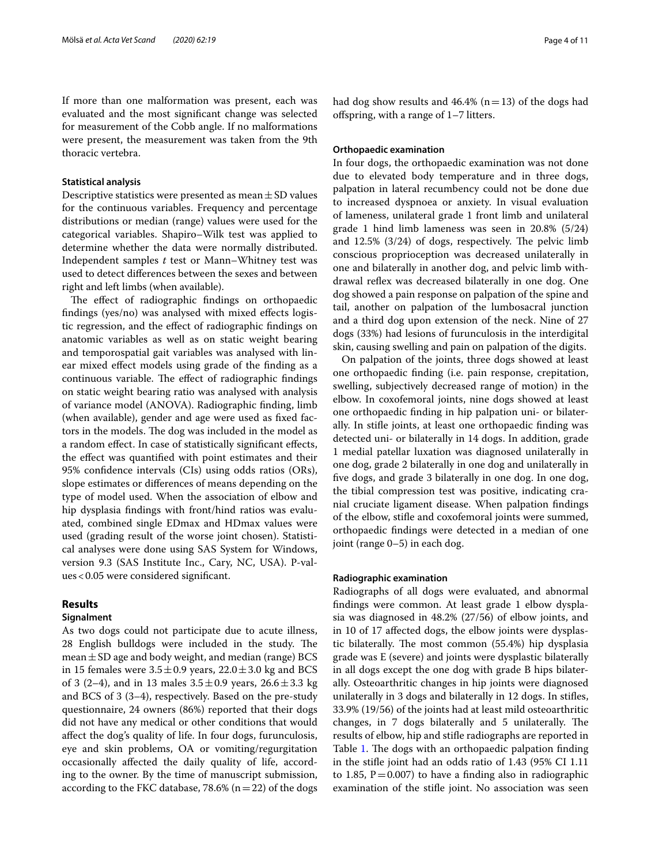If more than one malformation was present, each was evaluated and the most signifcant change was selected for measurement of the Cobb angle. If no malformations were present, the measurement was taken from the 9th thoracic vertebra.

## **Statistical analysis**

Descriptive statistics were presented as mean  $\pm$  SD values for the continuous variables. Frequency and percentage distributions or median (range) values were used for the categorical variables. Shapiro–Wilk test was applied to determine whether the data were normally distributed. Independent samples *t* test or Mann–Whitney test was used to detect diferences between the sexes and between right and left limbs (when available).

The effect of radiographic findings on orthopaedic fndings (yes/no) was analysed with mixed efects logistic regression, and the efect of radiographic fndings on anatomic variables as well as on static weight bearing and temporospatial gait variables was analysed with linear mixed efect models using grade of the fnding as a continuous variable. The effect of radiographic findings on static weight bearing ratio was analysed with analysis of variance model (ANOVA). Radiographic fnding, limb (when available), gender and age were used as fxed factors in the models. The dog was included in the model as a random efect. In case of statistically signifcant efects, the efect was quantifed with point estimates and their 95% confdence intervals (CIs) using odds ratios (ORs), slope estimates or diferences of means depending on the type of model used. When the association of elbow and hip dysplasia fndings with front/hind ratios was evaluated, combined single EDmax and HDmax values were used (grading result of the worse joint chosen). Statistical analyses were done using SAS System for Windows, version 9.3 (SAS Institute Inc., Cary, NC, USA). P-values<0.05 were considered signifcant.

## **Results**

## **Signalment**

As two dogs could not participate due to acute illness, 28 English bulldogs were included in the study. The mean  $\pm$  SD age and body weight, and median (range) BCS in 15 females were  $3.5 \pm 0.9$  years,  $22.0 \pm 3.0$  kg and BCS of 3 (2–4), and in 13 males  $3.5 \pm 0.9$  years,  $26.6 \pm 3.3$  kg and BCS of 3 (3–4), respectively. Based on the pre-study questionnaire, 24 owners (86%) reported that their dogs did not have any medical or other conditions that would afect the dog's quality of life. In four dogs, furunculosis, eye and skin problems, OA or vomiting/regurgitation occasionally afected the daily quality of life, according to the owner. By the time of manuscript submission, according to the FKC database, 78.6% ( $n=22$ ) of the dogs had dog show results and  $46.4\%$  (n=13) of the dogs had ofspring, with a range of 1–7 litters.

## **Orthopaedic examination**

In four dogs, the orthopaedic examination was not done due to elevated body temperature and in three dogs, palpation in lateral recumbency could not be done due to increased dyspnoea or anxiety. In visual evaluation of lameness, unilateral grade 1 front limb and unilateral grade 1 hind limb lameness was seen in 20.8% (5/24) and  $12.5\%$  (3/24) of dogs, respectively. The pelvic limb conscious proprioception was decreased unilaterally in one and bilaterally in another dog, and pelvic limb withdrawal refex was decreased bilaterally in one dog. One dog showed a pain response on palpation of the spine and tail, another on palpation of the lumbosacral junction and a third dog upon extension of the neck. Nine of 27 dogs (33%) had lesions of furunculosis in the interdigital skin, causing swelling and pain on palpation of the digits.

On palpation of the joints, three dogs showed at least one orthopaedic fnding (i.e. pain response, crepitation, swelling, subjectively decreased range of motion) in the elbow. In coxofemoral joints, nine dogs showed at least one orthopaedic fnding in hip palpation uni- or bilaterally. In stife joints, at least one orthopaedic fnding was detected uni- or bilaterally in 14 dogs. In addition, grade 1 medial patellar luxation was diagnosed unilaterally in one dog, grade 2 bilaterally in one dog and unilaterally in fve dogs, and grade 3 bilaterally in one dog. In one dog, the tibial compression test was positive, indicating cranial cruciate ligament disease. When palpation fndings of the elbow, stife and coxofemoral joints were summed, orthopaedic fndings were detected in a median of one joint (range 0–5) in each dog.

## **Radiographic examination**

Radiographs of all dogs were evaluated, and abnormal fndings were common. At least grade 1 elbow dysplasia was diagnosed in 48.2% (27/56) of elbow joints, and in 10 of 17 afected dogs, the elbow joints were dysplastic bilaterally. The most common (55.4%) hip dysplasia grade was E (severe) and joints were dysplastic bilaterally in all dogs except the one dog with grade B hips bilaterally. Osteoarthritic changes in hip joints were diagnosed unilaterally in 3 dogs and bilaterally in 12 dogs. In stifes, 33.9% (19/56) of the joints had at least mild osteoarthritic changes, in 7 dogs bilaterally and 5 unilaterally. The results of elbow, hip and stife radiographs are reported in Table [1.](#page-4-0) The dogs with an orthopaedic palpation finding in the stife joint had an odds ratio of 1.43 (95% CI 1.11 to 1.85,  $P = 0.007$ ) to have a finding also in radiographic examination of the stife joint. No association was seen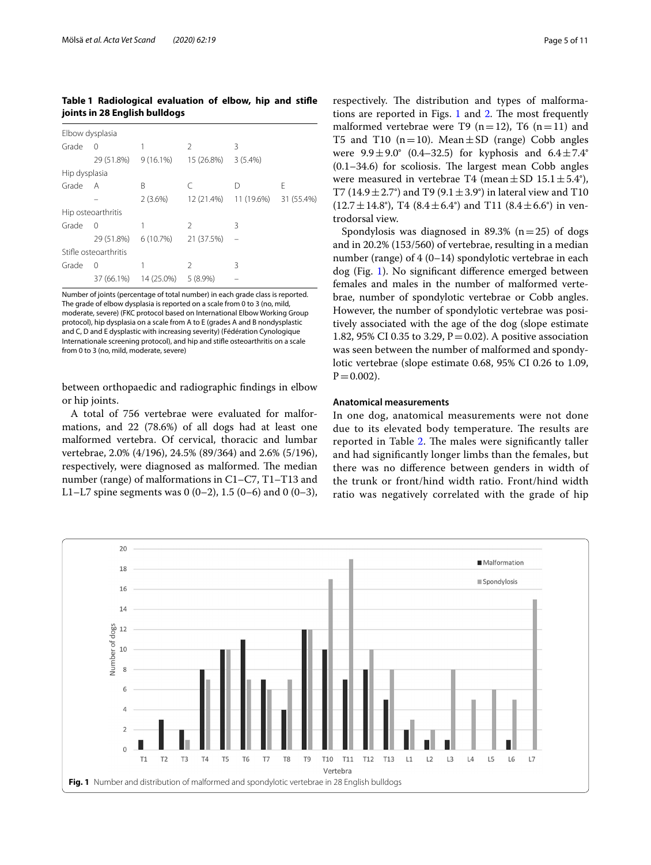<span id="page-4-0"></span>**Table 1 Radiological evaluation of elbow, hip and stife joints in 28 English bulldogs**

| Elbow dysplasia       |            |             |               |            |            |  |  |
|-----------------------|------------|-------------|---------------|------------|------------|--|--|
| Grade                 | 0          |             | $\mathcal{P}$ | 3          |            |  |  |
|                       | 29 (51.8%) | $9(16.1\%)$ | 15 (26.8%)    | $3(5.4\%)$ |            |  |  |
| Hip dysplasia         |            |             |               |            |            |  |  |
| Grade                 | A          | B           | C             | D          | Е          |  |  |
|                       |            | 2(3.6%)     | 12 (21.4%)    | 11 (19.6%) | 31 (55.4%) |  |  |
| Hip osteoarthritis    |            |             |               |            |            |  |  |
| Grade                 | 0          | 1           | 2             | 3          |            |  |  |
|                       | 29 (51.8%) | 6(10.7%)    | 21 (37.5%)    |            |            |  |  |
| Stifle osteoarthritis |            |             |               |            |            |  |  |
| Grade                 | 0          |             | $\mathcal{P}$ | 3          |            |  |  |
|                       | 37 (66.1%) | 14 (25.0%)  | $5(8.9\%)$    |            |            |  |  |

Number of joints (percentage of total number) in each grade class is reported. The grade of elbow dysplasia is reported on a scale from 0 to 3 (no, mild, moderate, severe) (FKC protocol based on International Elbow Working Group protocol), hip dysplasia on a scale from A to E (grades A and B nondysplastic and C, D and E dysplastic with increasing severity) (Fédération Cynologique Internationale screening protocol), and hip and stife osteoarthritis on a scale from 0 to 3 (no, mild, moderate, severe)

between orthopaedic and radiographic fndings in elbow or hip joints.

A total of 756 vertebrae were evaluated for malformations, and 22 (78.6%) of all dogs had at least one malformed vertebra. Of cervical, thoracic and lumbar vertebrae, 2.0% (4/196), 24.5% (89/364) and 2.6% (5/196), respectively, were diagnosed as malformed. The median number (range) of malformations in C1–C7, T1–T13 and L1–L7 spine segments was 0 (0–2), 1.5 (0–6) and 0 (0–3),

respectively. The distribution and types of malformations are reported in Figs.  $1$  and  $2$ . The most frequently malformed vertebrae were T9  $(n=12)$ , T6  $(n=11)$  and T5 and T10 ( $n=10$ ). Mean  $\pm$  SD (range) Cobb angles were  $9.9 \pm 9.0^{\circ}$  (0.4–32.5) for kyphosis and  $6.4 \pm 7.4^{\circ}$  $(0.1-34.6)$  for scoliosis. The largest mean Cobb angles were measured in vertebrae T4 (mean  $\pm$  SD 15.1  $\pm$  5.4°), T7 (14.9  $\pm$  2.7°) and T9 (9.1  $\pm$  3.9°) in lateral view and T10  $(12.7 \pm 14.8^{\circ})$ , T4  $(8.4 \pm 6.4^{\circ})$  and T11  $(8.4 \pm 6.6^{\circ})$  in ventrodorsal view.

Spondylosis was diagnosed in 89.3% ( $n=25$ ) of dogs and in 20.2% (153/560) of vertebrae, resulting in a median number (range) of 4 (0–14) spondylotic vertebrae in each dog (Fig. [1\)](#page-4-1). No signifcant diference emerged between females and males in the number of malformed vertebrae, number of spondylotic vertebrae or Cobb angles. However, the number of spondylotic vertebrae was positively associated with the age of the dog (slope estimate 1.82, 95% CI 0.35 to 3.29,  $P = 0.02$ ). A positive association was seen between the number of malformed and spondylotic vertebrae (slope estimate 0.68, 95% CI 0.26 to 1.09,  $P = 0.002$ ).

## **Anatomical measurements**

In one dog, anatomical measurements were not done due to its elevated body temperature. The results are reported in Table [2](#page-5-1). The males were significantly taller and had signifcantly longer limbs than the females, but there was no diference between genders in width of the trunk or front/hind width ratio. Front/hind width ratio was negatively correlated with the grade of hip

<span id="page-4-1"></span>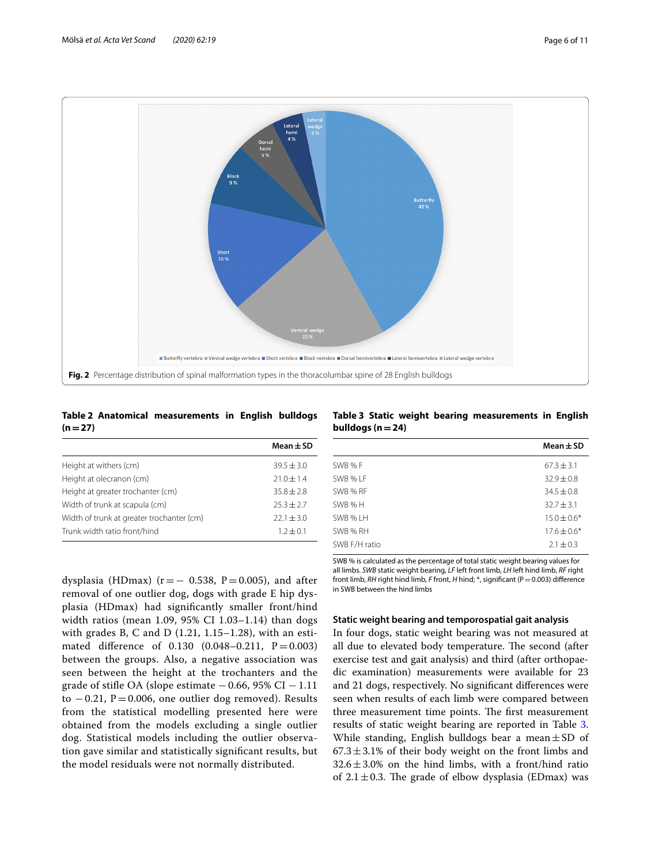

## <span id="page-5-1"></span><span id="page-5-0"></span>**Table 2 Anatomical measurements in English bulldogs**   $(n=27)$

|                                           | Mean $\pm$ SD  |
|-------------------------------------------|----------------|
| Height at withers (cm)                    | $39.5 \pm 3.0$ |
| Height at olecranon (cm)                  | $71.0 \pm 1.4$ |
| Height at greater trochanter (cm)         | $35.8 \pm 2.8$ |
| Width of trunk at scapula (cm)            | $25.3 + 2.7$   |
| Width of trunk at greater trochanter (cm) | $22.1 \pm 3.0$ |
| Trunk width ratio front/hind              | $1.2 \pm 0.1$  |

dysplasia (HDmax) ( $r=-0.538$ ,  $P=0.005$ ), and after removal of one outlier dog, dogs with grade E hip dysplasia (HDmax) had signifcantly smaller front/hind width ratios (mean 1.09, 95% CI 1.03–1.14) than dogs with grades B, C and D (1.21, 1.15–1.28), with an estimated difference of  $0.130$   $(0.048 - 0.211, P = 0.003)$ between the groups. Also, a negative association was seen between the height at the trochanters and the grade of stifle OA (slope estimate  $-0.66$ , 95% CI  $-1.11$ to  $-0.21$ , P=0.006, one outlier dog removed). Results from the statistical modelling presented here were obtained from the models excluding a single outlier dog. Statistical models including the outlier observation gave similar and statistically signifcant results, but the model residuals were not normally distributed.

<span id="page-5-2"></span>**Table 3 Static weight bearing measurements in English bulldogs (n=24)**

|               | $Mean \pm SD$   |
|---------------|-----------------|
| SWB %F        | $67.3 \pm 3.1$  |
| SWB % LF      | $32.9 \pm 0.8$  |
| SWB % RF      | $34.5 \pm 0.8$  |
| SWB %H        | $32.7 + 3.1$    |
| SWB % I H     | $15.0 \pm 0.6*$ |
| SWB % RH      | $17.6 \pm 0.6*$ |
| SWB F/H ratio | $2.1 \pm 0.3$   |

SWB % is calculated as the percentage of total static weight bearing values for all limbs. *SWB* static weight bearing, *LF* left front limb, *LH* left hind limb, *RF* right front limb, *RH* right hind limb, *F* front, *H* hind; \*, significant (P = 0.003) difference in SWB between the hind limbs

## **Static weight bearing and temporospatial gait analysis**

In four dogs, static weight bearing was not measured at all due to elevated body temperature. The second (after exercise test and gait analysis) and third (after orthopaedic examination) measurements were available for 23 and 21 dogs, respectively. No signifcant diferences were seen when results of each limb were compared between three measurement time points. The first measurement results of static weight bearing are reported in Table [3](#page-5-2). While standing, English bulldogs bear a mean $\pm$ SD of  $67.3 \pm 3.1\%$  of their body weight on the front limbs and  $32.6 \pm 3.0\%$  on the hind limbs, with a front/hind ratio of 2.1 $\pm$ 0.3. The grade of elbow dysplasia (EDmax) was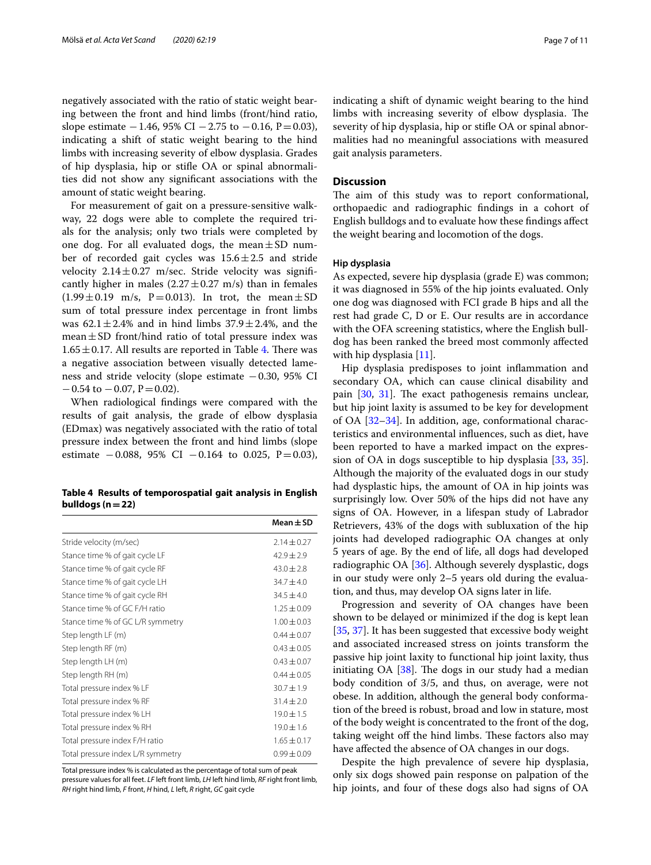negatively associated with the ratio of static weight bearing between the front and hind limbs (front/hind ratio, slope estimate  $-1.46$ , 95% CI  $-2.75$  to  $-0.16$ , P=0.03), indicating a shift of static weight bearing to the hind limbs with increasing severity of elbow dysplasia. Grades of hip dysplasia, hip or stife OA or spinal abnormalities did not show any signifcant associations with the amount of static weight bearing.

For measurement of gait on a pressure-sensitive walkway, 22 dogs were able to complete the required trials for the analysis; only two trials were completed by one dog. For all evaluated dogs, the mean $\pm$ SD number of recorded gait cycles was  $15.6 \pm 2.5$  and stride velocity  $2.14 \pm 0.27$  m/sec. Stride velocity was significantly higher in males  $(2.27 \pm 0.27 \text{ m/s})$  than in females  $(1.99 \pm 0.19 \text{ m/s}, P=0.013)$ . In trot, the mean  $\pm$  SD sum of total pressure index percentage in front limbs was  $62.1 \pm 2.4\%$  and in hind limbs  $37.9 \pm 2.4\%$ , and the mean $\pm$ SD front/hind ratio of total pressure index was  $1.65 \pm 0.17$ . All results are reported in Table [4](#page-6-0). There was a negative association between visually detected lameness and stride velocity (slope estimate −0.30, 95% CI  $-0.54$  to  $-0.07$ ,  $P = 0.02$ ).

When radiological fndings were compared with the results of gait analysis, the grade of elbow dysplasia (EDmax) was negatively associated with the ratio of total pressure index between the front and hind limbs (slope estimate  $-0.088$ , 95% CI  $-0.164$  to 0.025, P=0.03),

<span id="page-6-0"></span>**Table 4 Results of temporospatial gait analysis in English bulldogs (n=22)**

|                                   | Mean $\pm$ SD   |
|-----------------------------------|-----------------|
| Stride velocity (m/sec)           | $2.14 + 0.27$   |
| Stance time % of gait cycle LF    | $42.9 + 2.9$    |
| Stance time % of gait cycle RF    | $43.0 \pm 2.8$  |
| Stance time % of gait cycle LH    | $34.7 + 4.0$    |
| Stance time % of gait cycle RH    | $34.5 \pm 4.0$  |
| Stance time % of GC F/H ratio     | $1.25 + 0.09$   |
| Stance time % of GC L/R symmetry  | $1.00 \pm 0.03$ |
| Step length LF (m)                | $0.44 + 0.07$   |
| Step length RF (m)                | $0.43 + 0.05$   |
| Step length LH (m)                | $0.43 \pm 0.07$ |
| Step length RH (m)                | $0.44 + 0.05$   |
| Total pressure index % LF         | $30.7 + 1.9$    |
| Total pressure index % RF         | $31.4 \pm 2.0$  |
| Total pressure index % LH         | $19.0 \pm 1.5$  |
| Total pressure index % RH         | $19.0 \pm 1.6$  |
| Total pressure index F/H ratio    | $1.65 \pm 0.17$ |
| Total pressure index L/R symmetry | $0.99 + 0.09$   |

Total pressure index % is calculated as the percentage of total sum of peak

pressure values for all feet. *LF* left front limb, *LH* left hind limb, *RF* right front limb, *RH* right hind limb, *F* front, *H* hind, *L* left, *R* right, *GC* gait cycle

indicating a shift of dynamic weight bearing to the hind limbs with increasing severity of elbow dysplasia. The severity of hip dysplasia, hip or stife OA or spinal abnormalities had no meaningful associations with measured gait analysis parameters.

## **Discussion**

The aim of this study was to report conformational, orthopaedic and radiographic fndings in a cohort of English bulldogs and to evaluate how these fndings afect the weight bearing and locomotion of the dogs.

## **Hip dysplasia**

As expected, severe hip dysplasia (grade E) was common; it was diagnosed in 55% of the hip joints evaluated. Only one dog was diagnosed with FCI grade B hips and all the rest had grade C, D or E. Our results are in accordance with the OFA screening statistics, where the English bulldog has been ranked the breed most commonly afected with hip dysplasia [\[11](#page-9-10)].

Hip dysplasia predisposes to joint infammation and secondary OA, which can cause clinical disability and pain  $[30, 31]$  $[30, 31]$  $[30, 31]$ . The exact pathogenesis remains unclear, but hip joint laxity is assumed to be key for development of OA [\[32–](#page-10-10)[34\]](#page-10-11). In addition, age, conformational characteristics and environmental infuences, such as diet, have been reported to have a marked impact on the expression of OA in dogs susceptible to hip dysplasia [[33,](#page-10-12) [35](#page-10-13)]. Although the majority of the evaluated dogs in our study had dysplastic hips, the amount of OA in hip joints was surprisingly low. Over 50% of the hips did not have any signs of OA. However, in a lifespan study of Labrador Retrievers, 43% of the dogs with subluxation of the hip joints had developed radiographic OA changes at only 5 years of age. By the end of life, all dogs had developed radiographic OA [[36\]](#page-10-14). Although severely dysplastic, dogs in our study were only 2–5 years old during the evaluation, and thus, may develop OA signs later in life.

Progression and severity of OA changes have been shown to be delayed or minimized if the dog is kept lean [[35,](#page-10-13) [37](#page-10-15)]. It has been suggested that excessive body weight and associated increased stress on joints transform the passive hip joint laxity to functional hip joint laxity, thus initiating OA  $[38]$  $[38]$ . The dogs in our study had a median body condition of 3/5, and thus, on average, were not obese. In addition, although the general body conformation of the breed is robust, broad and low in stature, most of the body weight is concentrated to the front of the dog, taking weight off the hind limbs. These factors also may have afected the absence of OA changes in our dogs.

Despite the high prevalence of severe hip dysplasia, only six dogs showed pain response on palpation of the hip joints, and four of these dogs also had signs of OA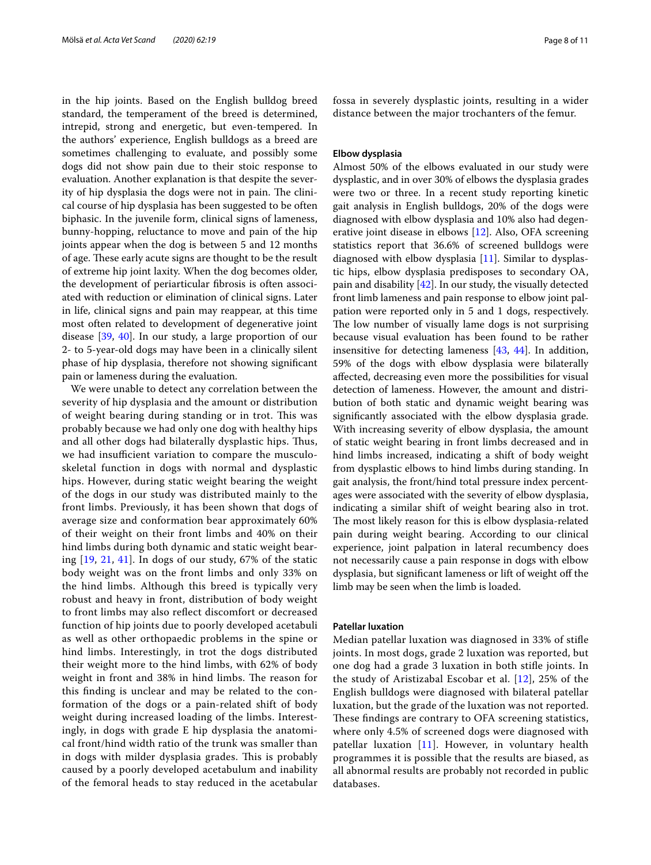in the hip joints. Based on the English bulldog breed standard, the temperament of the breed is determined, intrepid, strong and energetic, but even-tempered. In the authors' experience, English bulldogs as a breed are sometimes challenging to evaluate, and possibly some dogs did not show pain due to their stoic response to evaluation. Another explanation is that despite the severity of hip dysplasia the dogs were not in pain. The clinical course of hip dysplasia has been suggested to be often biphasic. In the juvenile form, clinical signs of lameness, bunny-hopping, reluctance to move and pain of the hip joints appear when the dog is between 5 and 12 months of age. These early acute signs are thought to be the result of extreme hip joint laxity. When the dog becomes older, the development of periarticular fbrosis is often associated with reduction or elimination of clinical signs. Later in life, clinical signs and pain may reappear, at this time most often related to development of degenerative joint disease [[39,](#page-10-17) [40](#page-10-18)]. In our study, a large proportion of our 2- to 5-year-old dogs may have been in a clinically silent phase of hip dysplasia, therefore not showing signifcant pain or lameness during the evaluation.

We were unable to detect any correlation between the severity of hip dysplasia and the amount or distribution of weight bearing during standing or in trot. This was probably because we had only one dog with healthy hips and all other dogs had bilaterally dysplastic hips. Thus, we had insufficient variation to compare the musculoskeletal function in dogs with normal and dysplastic hips. However, during static weight bearing the weight of the dogs in our study was distributed mainly to the front limbs. Previously, it has been shown that dogs of average size and conformation bear approximately 60% of their weight on their front limbs and 40% on their hind limbs during both dynamic and static weight bearing [\[19,](#page-9-16) [21](#page-9-17), [41](#page-10-19)]. In dogs of our study, 67% of the static body weight was on the front limbs and only 33% on the hind limbs. Although this breed is typically very robust and heavy in front, distribution of body weight to front limbs may also refect discomfort or decreased function of hip joints due to poorly developed acetabuli as well as other orthopaedic problems in the spine or hind limbs. Interestingly, in trot the dogs distributed their weight more to the hind limbs, with 62% of body weight in front and 38% in hind limbs. The reason for this fnding is unclear and may be related to the conformation of the dogs or a pain-related shift of body weight during increased loading of the limbs. Interestingly, in dogs with grade E hip dysplasia the anatomical front/hind width ratio of the trunk was smaller than in dogs with milder dysplasia grades. This is probably caused by a poorly developed acetabulum and inability of the femoral heads to stay reduced in the acetabular fossa in severely dysplastic joints, resulting in a wider distance between the major trochanters of the femur.

## **Elbow dysplasia**

Almost 50% of the elbows evaluated in our study were dysplastic, and in over 30% of elbows the dysplasia grades were two or three. In a recent study reporting kinetic gait analysis in English bulldogs, 20% of the dogs were diagnosed with elbow dysplasia and 10% also had degenerative joint disease in elbows [[12\]](#page-9-11). Also, OFA screening statistics report that 36.6% of screened bulldogs were diagnosed with elbow dysplasia [\[11](#page-9-10)]. Similar to dysplastic hips, elbow dysplasia predisposes to secondary OA, pain and disability [\[42](#page-10-20)]. In our study, the visually detected front limb lameness and pain response to elbow joint palpation were reported only in 5 and 1 dogs, respectively. The low number of visually lame dogs is not surprising because visual evaluation has been found to be rather insensitive for detecting lameness [\[43](#page-10-21), [44](#page-10-22)]. In addition, 59% of the dogs with elbow dysplasia were bilaterally afected, decreasing even more the possibilities for visual detection of lameness. However, the amount and distribution of both static and dynamic weight bearing was signifcantly associated with the elbow dysplasia grade. With increasing severity of elbow dysplasia, the amount of static weight bearing in front limbs decreased and in hind limbs increased, indicating a shift of body weight from dysplastic elbows to hind limbs during standing. In gait analysis, the front/hind total pressure index percentages were associated with the severity of elbow dysplasia, indicating a similar shift of weight bearing also in trot. The most likely reason for this is elbow dysplasia-related pain during weight bearing. According to our clinical experience, joint palpation in lateral recumbency does not necessarily cause a pain response in dogs with elbow dysplasia, but significant lameness or lift of weight off the limb may be seen when the limb is loaded.

## **Patellar luxation**

Median patellar luxation was diagnosed in 33% of stife joints. In most dogs, grade 2 luxation was reported, but one dog had a grade 3 luxation in both stife joints. In the study of Aristizabal Escobar et al. [[12\]](#page-9-11), 25% of the English bulldogs were diagnosed with bilateral patellar luxation, but the grade of the luxation was not reported. These findings are contrary to OFA screening statistics, where only 4.5% of screened dogs were diagnosed with patellar luxation [[11\]](#page-9-10). However, in voluntary health programmes it is possible that the results are biased, as all abnormal results are probably not recorded in public databases.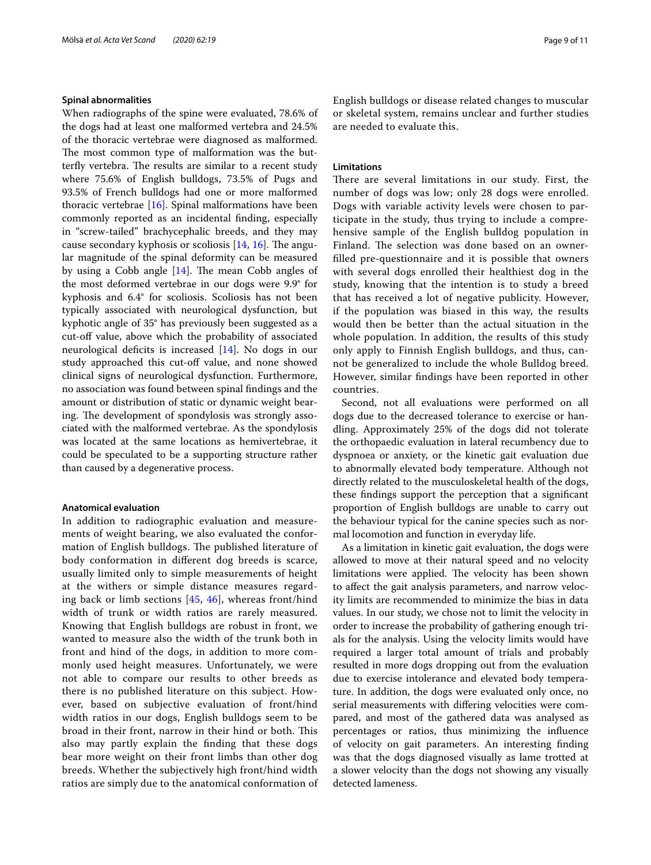## **Spinal abnormalities**

When radiographs of the spine were evaluated, 78.6% of the dogs had at least one malformed vertebra and 24.5% of the thoracic vertebrae were diagnosed as malformed. The most common type of malformation was the butterfly vertebra. The results are similar to a recent study where 75.6% of English bulldogs, 73.5% of Pugs and 93.5% of French bulldogs had one or more malformed thoracic vertebrae [\[16](#page-9-18)]. Spinal malformations have been commonly reported as an incidental fnding, especially in "screw-tailed" brachycephalic breeds, and they may cause secondary kyphosis or scoliosis [\[14](#page-9-13), [16\]](#page-9-18). The angular magnitude of the spinal deformity can be measured by using a Cobb angle  $[14]$  $[14]$  $[14]$ . The mean Cobb angles of the most deformed vertebrae in our dogs were 9.9° for kyphosis and 6.4° for scoliosis. Scoliosis has not been typically associated with neurological dysfunction, but kyphotic angle of 35° has previously been suggested as a cut-off value, above which the probability of associated neurological deficits is increased  $[14]$  $[14]$  $[14]$ . No dogs in our study approached this cut-off value, and none showed clinical signs of neurological dysfunction. Furthermore, no association was found between spinal fndings and the amount or distribution of static or dynamic weight bearing. The development of spondylosis was strongly associated with the malformed vertebrae. As the spondylosis was located at the same locations as hemivertebrae, it could be speculated to be a supporting structure rather than caused by a degenerative process.

## **Anatomical evaluation**

In addition to radiographic evaluation and measurements of weight bearing, we also evaluated the conformation of English bulldogs. The published literature of body conformation in diferent dog breeds is scarce, usually limited only to simple measurements of height at the withers or simple distance measures regarding back or limb sections [\[45](#page-10-23), [46](#page-10-24)], whereas front/hind width of trunk or width ratios are rarely measured. Knowing that English bulldogs are robust in front, we wanted to measure also the width of the trunk both in front and hind of the dogs, in addition to more commonly used height measures. Unfortunately, we were not able to compare our results to other breeds as there is no published literature on this subject. However, based on subjective evaluation of front/hind width ratios in our dogs, English bulldogs seem to be broad in their front, narrow in their hind or both. This also may partly explain the fnding that these dogs bear more weight on their front limbs than other dog breeds. Whether the subjectively high front/hind width ratios are simply due to the anatomical conformation of English bulldogs or disease related changes to muscular or skeletal system, remains unclear and further studies are needed to evaluate this.

## **Limitations**

There are several limitations in our study. First, the number of dogs was low; only 28 dogs were enrolled. Dogs with variable activity levels were chosen to participate in the study, thus trying to include a comprehensive sample of the English bulldog population in Finland. The selection was done based on an ownerflled pre-questionnaire and it is possible that owners with several dogs enrolled their healthiest dog in the study, knowing that the intention is to study a breed that has received a lot of negative publicity. However, if the population was biased in this way, the results would then be better than the actual situation in the whole population. In addition, the results of this study only apply to Finnish English bulldogs, and thus, cannot be generalized to include the whole Bulldog breed. However, similar fndings have been reported in other countries.

Second, not all evaluations were performed on all dogs due to the decreased tolerance to exercise or handling. Approximately 25% of the dogs did not tolerate the orthopaedic evaluation in lateral recumbency due to dyspnoea or anxiety, or the kinetic gait evaluation due to abnormally elevated body temperature. Although not directly related to the musculoskeletal health of the dogs, these fndings support the perception that a signifcant proportion of English bulldogs are unable to carry out the behaviour typical for the canine species such as normal locomotion and function in everyday life.

As a limitation in kinetic gait evaluation, the dogs were allowed to move at their natural speed and no velocity limitations were applied. The velocity has been shown to afect the gait analysis parameters, and narrow velocity limits are recommended to minimize the bias in data values. In our study, we chose not to limit the velocity in order to increase the probability of gathering enough trials for the analysis. Using the velocity limits would have required a larger total amount of trials and probably resulted in more dogs dropping out from the evaluation due to exercise intolerance and elevated body temperature. In addition, the dogs were evaluated only once, no serial measurements with difering velocities were compared, and most of the gathered data was analysed as percentages or ratios, thus minimizing the infuence of velocity on gait parameters. An interesting fnding was that the dogs diagnosed visually as lame trotted at a slower velocity than the dogs not showing any visually detected lameness.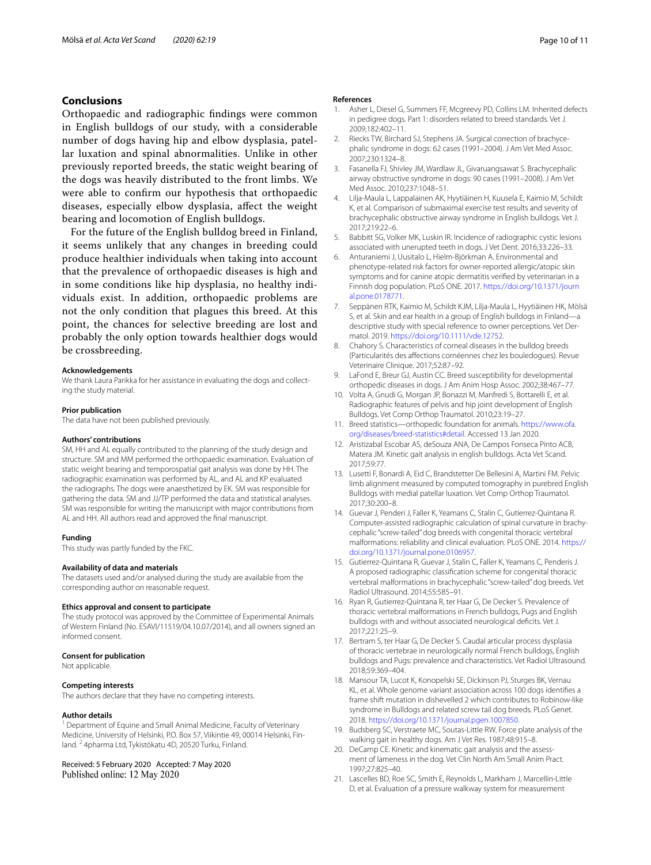## **Conclusions**

Orthopaedic and radiographic fndings were common in English bulldogs of our study, with a considerable number of dogs having hip and elbow dysplasia, patellar luxation and spinal abnormalities. Unlike in other previously reported breeds, the static weight bearing of the dogs was heavily distributed to the front limbs. We were able to confrm our hypothesis that orthopaedic diseases, especially elbow dysplasia, afect the weight bearing and locomotion of English bulldogs.

For the future of the English bulldog breed in Finland, it seems unlikely that any changes in breeding could produce healthier individuals when taking into account that the prevalence of orthopaedic diseases is high and in some conditions like hip dysplasia, no healthy individuals exist. In addition, orthopaedic problems are not the only condition that plagues this breed. At this point, the chances for selective breeding are lost and probably the only option towards healthier dogs would be crossbreeding.

#### **Acknowledgements**

We thank Laura Parikka for her assistance in evaluating the dogs and collecting the study material.

#### **Prior publication**

The data have not been published previously.

#### **Authors' contributions**

SM, HH and AL equally contributed to the planning of the study design and structure. SM and MM performed the orthopaedic examination. Evaluation of static weight bearing and temporospatial gait analysis was done by HH. The radiographic examination was performed by AL, and AL and KP evaluated the radiographs. The dogs were anaesthetized by EK. SM was responsible for gathering the data. SM and JJ/TP performed the data and statistical analyses. SM was responsible for writing the manuscript with major contributions from AL and HH. All authors read and approved the fnal manuscript.

#### **Funding**

This study was partly funded by the FKC.

#### **Availability of data and materials**

The datasets used and/or analysed during the study are available from the corresponding author on reasonable request.

#### **Ethics approval and consent to participate**

The study protocol was approved by the Committee of Experimental Animals of Western Finland (No. ESAVI/11519/04.10.07/2014), and all owners signed an informed consent.

#### **Consent for publication**

Not applicable.

#### **Competing interests**

The authors declare that they have no competing interests.

#### **Author details**

<sup>1</sup> Department of Equine and Small Animal Medicine, Faculty of Veterinary Medicine, University of Helsinki, P.O. Box 57, Viikintie 49, 00014 Helsinki, Finland. <sup>2</sup> 4pharma Ltd, Tykistökatu 4D, 20520 Turku, Finland.

Received: 5 February 2020 Accepted: 7 May 2020 Published online: 12 May 2020

#### **References**

- <span id="page-9-0"></span>1. Asher L, Diesel G, Summers FF, Mcgreevy PD, Collins LM. Inherited defects in pedigree dogs. Part 1: disorders related to breed standards. Vet J. 2009;182:402–11.
- <span id="page-9-1"></span>2. Riecks TW, Birchard SJ, Stephens JA. Surgical correction of brachycephalic syndrome in dogs: 62 cases (1991–2004). J Am Vet Med Assoc. 2007;230:1324–8.
- <span id="page-9-3"></span>3. Fasanella FJ, Shivley JM, Wardlaw JL, Givaruangsawat S. Brachycephalic airway obstructive syndrome in dogs: 90 cases (1991–2008). J Am Vet Med Assoc. 2010;237:1048–51.
- <span id="page-9-2"></span>4. Lilja-Maula L, Lappalainen AK, Hyytiäinen H, Kuusela E, Kaimio M, Schildt K, et al. Comparison of submaximal exercise test results and severity of brachycephalic obstructive airway syndrome in English bulldogs. Vet J. 2017;219:22–6.
- <span id="page-9-4"></span>5. Babbitt SG, Volker MK, Luskin IR. Incidence of radiographic cystic lesions associated with unerupted teeth in dogs. J Vet Dent. 2016;33:226–33.
- <span id="page-9-5"></span>6. Anturaniemi J, Uusitalo L, Hielm-Björkman A. Environmental and phenotype-related risk factors for owner-reported allergic/atopic skin symptoms and for canine atopic dermatitis verifed by veterinarian in a Finnish dog population. PLoS ONE. 2017. [https://doi.org/10.1371/journ](https://doi.org/10.1371/journal.pone.0178771) [al.pone.0178771.](https://doi.org/10.1371/journal.pone.0178771)
- <span id="page-9-6"></span>7. Seppänen RTK, Kaimio M, Schildt KJM, Lilja-Maula L, Hyytiäinen HK, Mölsä S, et al. Skin and ear health in a group of English bulldogs in Finland—a descriptive study with special reference to owner perceptions. Vet Dermatol. 2019. <https://doi.org/10.1111/vde.12752>.
- <span id="page-9-7"></span>8. Chahory S. Characteristics of corneal diseases in the bulldog breeds (Particularités des afections cornéennes chez les bouledogues). Revue Veterinaire Clinique. 2017;52:87–92.
- <span id="page-9-8"></span>9. LaFond E, Breur GJ, Austin CC. Breed susceptibility for developmental orthopedic diseases in dogs. J Am Anim Hosp Assoc. 2002;38:467–77.
- <span id="page-9-9"></span>10. Volta A, Gnudi G, Morgan JP, Bonazzi M, Manfredi S, Bottarelli E, et al. Radiographic features of pelvis and hip joint development of English Bulldogs. Vet Comp Orthop Traumatol. 2010;23:19–27.
- <span id="page-9-10"></span>11. Breed statistics—orthopedic foundation for animals. [https://www.ofa.](https://www.ofa.org/diseases/breed-statistics#detail) [org/diseases/breed-statistics#detail](https://www.ofa.org/diseases/breed-statistics#detail). Accessed 13 Jan 2020.
- <span id="page-9-11"></span>12. Aristizabal Escobar AS, deSouza ANA, De Campos Fonseca Pinto ACB, Matera JM. Kinetic gait analysis in english bulldogs. Acta Vet Scand. 2017;59:77.
- <span id="page-9-12"></span>13. Lusetti F, Bonardi A, Eid C, Brandstetter De Bellesini A, Martini FM. Pelvic limb alignment measured by computed tomography in purebred English Bulldogs with medial patellar luxation. Vet Comp Orthop Traumatol. 2017;30:200–8.
- <span id="page-9-13"></span>14. Guevar J, Penderi J, Faller K, Yeamans C, Stalin C, Gutierrez-Quintana R. Computer-assisted radiographic calculation of spinal curvature in brachycephalic "screw-tailed" dog breeds with congenital thoracic vertebral malformations: reliability and clinical evaluation. PLoS ONE. 2014. [https://](https://doi.org/10.1371/journal.pone.0106957) [doi.org/10.1371/journal.pone.0106957](https://doi.org/10.1371/journal.pone.0106957).
- <span id="page-9-19"></span>15. Gutierrez-Quintana R, Guevar J, Stalin C, Faller K, Yeamans C, Penderis J. A proposed radiographic classifcation scheme for congenital thoracic vertebral malformations in brachycephalic "screw-tailed" dog breeds. Vet Radiol Ultrasound. 2014;55:585–91.
- <span id="page-9-18"></span>16. Ryan R, Gutierrez-Quintana R, ter Haar G, De Decker S. Prevalence of thoracic vertebral malformations in French bulldogs, Pugs and English bulldogs with and without associated neurological deficits. Vet J. 2017;221:25–9.
- <span id="page-9-14"></span>17. Bertram S, ter Haar G, De Decker S. Caudal articular process dysplasia of thoracic vertebrae in neurologically normal French bulldogs, English bulldogs and Pugs: prevalence and characteristics. Vet Radiol Ultrasound. 2018;59:369–404.
- <span id="page-9-15"></span>18. Mansour TA, Lucot K, Konopelski SE, Dickinson PJ, Sturges BK, Vernau KL, et al. Whole genome variant association across 100 dogs identifes a frame shift mutation in dishevelled 2 which contributes to Robinow-like syndrome in Bulldogs and related screw tail dog breeds. PLoS Genet. 2018.<https://doi.org/10.1371/journal.pgen.1007850>.
- <span id="page-9-16"></span>19. Budsberg SC, Verstraete MC, Soutas-Little RW. Force plate analysis of the walking gait in healthy dogs. Am J Vet Res. 1987;48:915–8.
- 20. DeCamp CE. Kinetic and kinematic gait analysis and the assessment of lameness in the dog. Vet Clin North Am Small Anim Pract. 1997;27:825–40.
- <span id="page-9-17"></span>21. Lascelles BD, Roe SC, Smith E, Reynolds L, Markham J, Marcellin-Little D, et al. Evaluation of a pressure walkway system for measurement